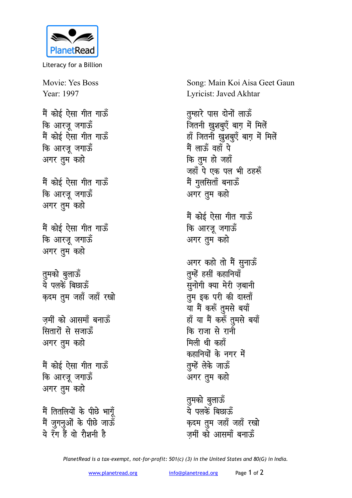

Literacy for a Billion

Movie: Yes Boss Year: 1997

मैं कोई ऐसा गीत गाऊँ कि आरजू जगाऊँ मैं कोई ऐसा गीत गाऊँ कि आरजू जगाऊँ अगर तुम कहो

मैं कोई ऐसा गीत गाऊँ कि आरजू जगाऊँ अगर तुम कहो

मैं कोई ऐसा गीत गाऊँ कि आरजू जगाऊँ अगर तुम कहो

तुमको बुलाऊँ<br>ये पलकें बिछाऊँ कृदम तुम जहाँ जहाँ रखो

जमीं को आसमाँ बनाऊँ सितारों से सजाऊँ अगर तुम कहो

मैं कोई ऐसा गीत गाऊँ कि आरजू जगाऊँ अगर तुम कहो

मैं तितलियों के पीछे भागूँ मैं जुगनुओं के पीछे जाऊँ ये रँग हैं वो रौशनी है

Song: Main Koi Aisa Geet Gaun Lyricist: Javed Akhtar

तुम्हारे पास दोनों लाऊँ जितनी ख़ुशबुएँ बाग में मिलें हाँ जितनी ख़ुशबुएँ बाग में मिलें मैं लाऊँ वहाँ पे कि तुम हो जहाँ जहाँ पे एक पल भी ठहरूँ मैं गुलसिताँ बनाऊँ अगर तुम कहो मैं कोई ऐसा गीत गाऊँ कि आरजू जगाऊँ अगर तुम कहो अगर कहो तो मैं सुनाऊँ तुम्हें हसीं कहानियाँ सुनोगी क्या मेरी ज़बानी तुम इक परी की दास्ताँ या मैं करूँ तुमसे बयाँ हाँ या मैं करूँ तुमसे बयाँ

कि राजा से रानी मिली थी कहाँ कहानियों के नगर में तुम्हें लेके जाऊँ अगर तुम कहो

तुमको बुलाऊँ<br>ये पलकें बिछाऊँ क़दम तुम जहाँ जहाँ रखो जमीं को आसमाँ बनाऊँ

PlanetRead is a tax-exempt, not-for-profit: 501(c) (3) in the United States and 80(G) in India.